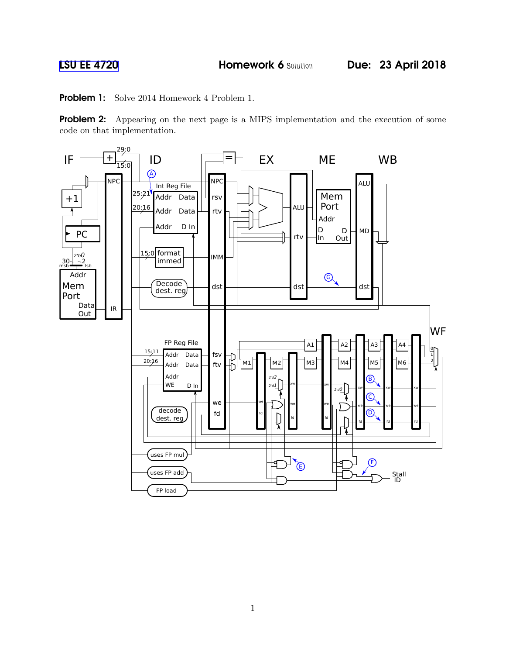Problem 1: Solve 2014 Homework 4 Problem 1.

Problem 2: Appearing on the next page is a MIPS implementation and the execution of some code on that implementation.

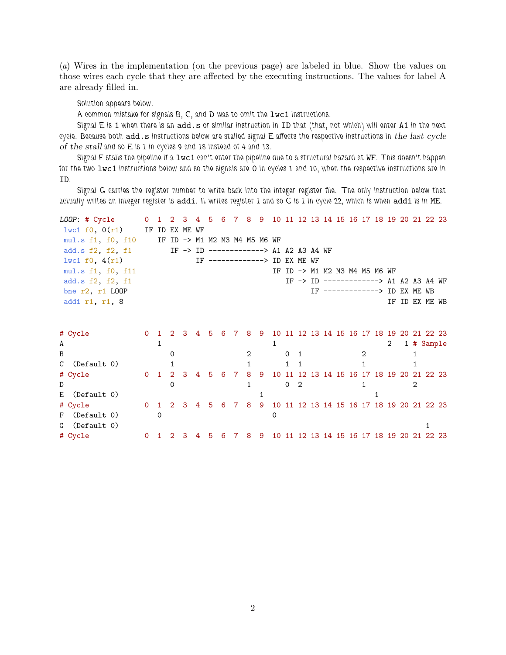(a) Wires in the implementation (on the previous page) are labeled in blue. Show the values on those wires each cycle that they are affected by the executing instructions. The values for label A are already filled in.

Solution appears below.

A common mistake for signals B, C, and D was to omit the lwc1 instructions.

Signal E is 1 when there is an add.s or similar instruction in ID that (that, not which) will enter A1 in the next cycle. Because both  $add.s$  instructions below are stalled signal  $E$  affects the respective instructions in the last cycle of the stall and so E is 1 in cycles 9 and 18 instead of 4 and 13.

Signal F stalls the pipeline if a lwc1 can't enter the pipeline due to a structural hazard at WF. This doesn't happen for the two lwc1 instructions below and so the signals are 0 in cycles 1 and 10, when the respective instructions are in ID.

Signal G carries the register number to write back into the integer register file. The only instruction below that actually writes an integer register is addi. It writes register 1 and so G is 1 in cycle 22, which is when addi is in ME.

|                    | LOOP: # Cycle        | $\Omega$ |              | 1 2 3 4 5                                                 |  |   | 6 7 8 9 10 11 12 13 14 15 16 17 18 19 20 21 22 23         |    |     |   |          |                |  |                                           |              |   |                |  |
|--------------------|----------------------|----------|--------------|-----------------------------------------------------------|--|---|-----------------------------------------------------------|----|-----|---|----------|----------------|--|-------------------------------------------|--------------|---|----------------|--|
|                    | $1$ wc1 f0, $0(r1)$  | IF ID    |              | EX ME WF                                                  |  |   |                                                           |    |     |   |          |                |  |                                           |              |   |                |  |
|                    | mul.s f1, f0, f10    |          |              | IF ID -> M1 M2 M3 M4 M5 M6 WF                             |  |   |                                                           |    |     |   |          |                |  |                                           |              |   |                |  |
|                    | add.s f2, f2, f1     |          |              |                                                           |  |   | IF -> ID -------------> A1 A2 A3 A4 WF                    |    |     |   |          |                |  |                                           |              |   |                |  |
| 1 w c 1 f 0, 4(r1) |                      |          |              |                                                           |  |   | IF -------------> ID EX ME WF                             |    |     |   |          |                |  |                                           |              |   |                |  |
|                    | mul.s f1, f0, f11    |          |              |                                                           |  |   |                                                           |    |     |   |          |                |  | IF ID -> M1 M2 M3 M4 M5 M6 WF             |              |   |                |  |
|                    | add.s f2, f2, f1     |          |              |                                                           |  |   |                                                           |    |     |   |          |                |  | IF -> ID -------------> A1 A2 A3 A4 WF    |              |   |                |  |
|                    | bne $r2$ , $r1$ LOOP |          |              |                                                           |  |   |                                                           |    |     |   |          |                |  | IF -------------> ID EX ME WB             |              |   |                |  |
|                    | addi r1, r1, 8       |          |              |                                                           |  |   |                                                           |    |     |   |          |                |  |                                           |              |   | IF ID EX ME WB |  |
|                    |                      |          |              |                                                           |  |   |                                                           |    |     |   |          |                |  |                                           |              |   |                |  |
|                    |                      |          |              |                                                           |  |   |                                                           |    |     |   |          |                |  |                                           |              |   |                |  |
|                    | # Cycle              | $\Omega$ | $\mathbf{1}$ |                                                           |  |   | 2 3 4 5 6 7 8 9 10 11 12 13 14 15 16 17 18 19 20 21 22 23 |    |     |   |          |                |  |                                           |              |   |                |  |
| A                  |                      |          | $\mathbf{1}$ |                                                           |  |   |                                                           |    |     | 1 |          |                |  |                                           |              | 2 | 1 # Sample     |  |
| B                  |                      |          |              | 0                                                         |  |   |                                                           |    |     |   | $\Omega$ | $\blacksquare$ |  |                                           | 2            |   |                |  |
| $\mathbf C$        | (Default 0)          |          |              |                                                           |  |   |                                                           |    |     |   |          |                |  |                                           |              |   |                |  |
|                    | # Cycle              |          | $0 \quad 1$  |                                                           |  |   | 2 3 4 5 6 7 8 9 10 11 12 13 14 15 16 17 18 19 20 21 22 23 |    |     |   |          |                |  |                                           |              |   |                |  |
| D                  |                      |          |              | $\Omega$                                                  |  |   |                                                           | 1. |     |   | $\Omega$ | $\overline{2}$ |  |                                           | $\mathbf{1}$ |   | 2              |  |
| Е                  | (Default 0)          |          |              |                                                           |  |   |                                                           |    |     |   |          |                |  |                                           |              |   |                |  |
|                    | # Cycle              |          | $0\quad 1$   | 2 3 4 5 6 7 8 9 10 11 12 13 14 15 16 17 18 19 20 21 22 23 |  |   |                                                           |    |     |   |          |                |  |                                           |              |   |                |  |
| F                  | (Default 0)          |          | $\Omega$     |                                                           |  |   |                                                           |    |     | 0 |          |                |  |                                           |              |   |                |  |
|                    | G (Default 0)        |          |              |                                                           |  |   |                                                           |    |     |   |          |                |  |                                           |              |   |                |  |
|                    | # Cycle              | $\Omega$ |              |                                                           |  | 5 | 6                                                         | 8  | - 9 |   |          |                |  | 10 11 12 13 14 15 16 17 18 19 20 21 22 23 |              |   |                |  |
|                    |                      |          |              |                                                           |  |   |                                                           |    |     |   |          |                |  |                                           |              |   |                |  |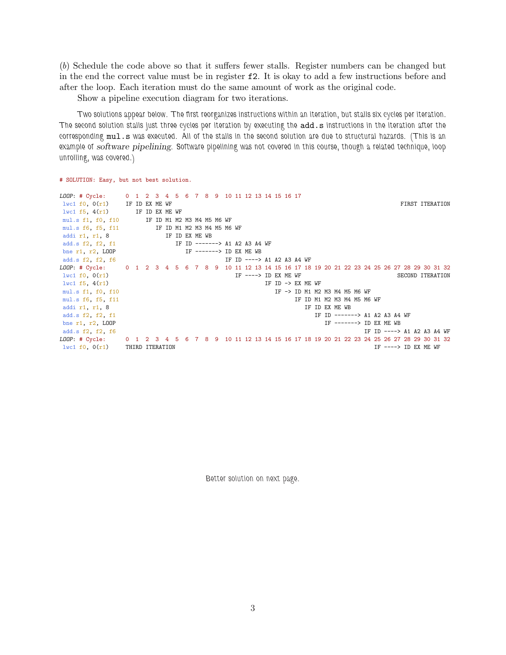(b) Schedule the code above so that it suffers fewer stalls. Register numbers can be changed but in the end the correct value must be in register f2. It is okay to add a few instructions before and after the loop. Each iteration must do the same amount of work as the original code.

Show a pipeline execution diagram for two iterations.

Two solutions appear below. The first reorganizes instructions within an iteration, but stalls six cycles per iteration. The second solution stalls just three cycles per iteration by executing the add.s instructions in the iteration after the corresponding mul.s was executed. All of the stalls in the second solution are due to structural hazards. (This is an example of software pipelining. Software pipelining was not covered in this course, though a related technique, loop unrolling, was covered.)

# SOLUTION: Easy, but not best solution.

```
LOOP: # Cycle: 0 1 2 3 4 5 6 7 8 9 10 11 12 13 14 15 16 17
lwc1 f0, 0(r1) IF ID EX ME WF FIRST ITERATION
lwc1 f5, 4(r1) IF ID EX ME WF
mul.s f1, f0, f10 IF ID M1 M2 M3 M4 M5 M6 WF<br>mul.s f6, f5, f11 IF ID M1 M2 M3 M4 M5 M6
mul.s f6, f5, f11 IF ID M1 M2 M3 M4 M5 M6 WF<br>addi r1, r1, 8 IF ID EX ME WB
add.s f2, f2, f1IF ID -------> A1 A2 A3 A4 WF
bne r1, r2, LOOP IF ----> ID EX ME WB
add.s f2, f2, f6 IF ID ----> A1 A2 A3 A4 WF
LOOP: # Cycle: 0 1 2 3 4 5 6 7 8 9 10 11 12 13 14 15 16 17 18 19 20 21 22 23 24 25 26 27 28 29 30 31 32
lwc1 f0, 0(r1) THE ----> ID EX ME WF SECOND ITERATION
lwc1 f5, 4(r1) IF ID -> EX ME WF
mul.s f1, f0, f10 IF -> ID M1 M2 M3 M4 M5 M6 WF
mul.s f6, f5, f11 IF ID M1 M2 M3 M4 M5 M6 WF
addi r1, r1, 8 IF ID EX ME WB
add.s f2, f2, f1 IF ID ------> A1 A2 A3 A4 WF <br>
bne r1, r2, LOOP IF -------> ID EX ME WB
                                                    IF -------> ID EX ME WB
add.s f2, f2, f6 IF ID ----> A1 A2 A3 A4 WF
LOOP: # Cycle: 0 1 2 3 4 5 6 7 8 9 10 11 12 13 14 15 16 17 18 19 20 21 22 23 24 25 26 27 28 29 30 31 32
lwc1 f0, 0(r1) THIRD ITERATION l if ---> ID EX ME WF
```
Better solution on next page.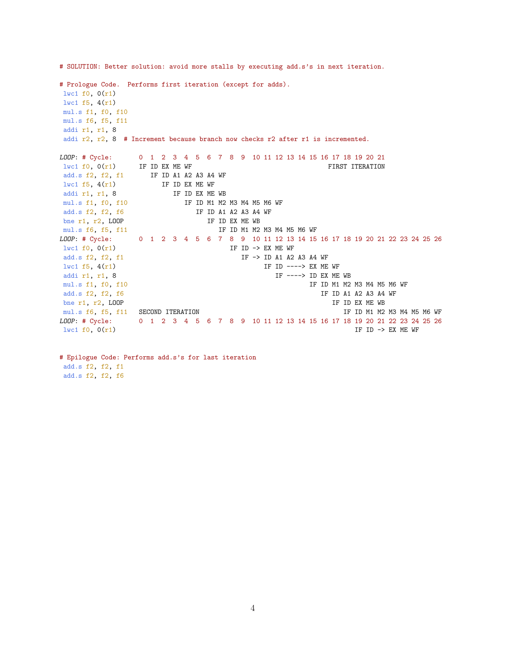# Prologue Code. Performs first iteration (except for adds). lwc1 f0, 0(r1) lwc1 f5, 4(r1) mul.s f1, f0, f10 mul.s f6, f5, f11 addi r1, r1, 8 addi r2, r2, 8 # Increment because branch now checks r2 after r1 is incremented. LOOP: # Cycle: 0 1 2 3 4 5 6 7 8 9 10 11 12 13 14 15 16 17 18 19 20 21  $l$ wc1 f0, 0(r1) IF ID EX ME WF FIRST ITERATION add.s f2, f2, f1 IF ID A1 A2 A3 A4 WF  $l$ wc1 f5, 4(r1) IF ID EX ME WF addi r1, r1, 8 IF ID EX ME WB mul.s f1, f0, f10 IF ID M1 M2 M3 M4 M5 M6 WF add.s f2, f2, f6 IF ID A1 A2 A3 A4 WF bne r1, r2, LOOP IF ID EX ME WB mul.s f6, f5, f11 IF ID M1 M2 M3 M4 M5 M6 WF LOOP: # Cycle: 0 1 2 3 4 5 6 7 8 9 10 11 12 13 14 15 16 17 18 19 20 21 22 23 24 25 26  $l$ wc1 f0,  $0(r1)$  IF ID -> EX ME WF add.s f2, f2, f1  $IF \rightarrow ID$  A1 A2 A3 A4 WF  $l$ wc1 f5, 4(r1) IF ID ----> EX ME WF addi r1, r1, 8 IF ----> ID EX ME WB mul.s f1, f0, f10 IF ----> ID EX ME WB mul.s f1, f0, f10 IF ID M1 M2 M3 M4 M5 M6 WF add.s f2, f2, f6 IF ID A1 A2 A3 A4 WF bne r1, r2, LOOP IF ID EX ME WB mul.s f6, f5, f11 SECOND ITERATION **IF ID M1 M2 M3 M4 M5 M6 WF** LOOP: # Cycle: 0 1 2 3 4 5 6 7 8 9 10 11 12 13 14 15 16 17 18 19 20 21 22 23 24 25 26  $l$ wc1 f0, 0(r1) IF ID -> EX ME WF

# SOLUTION: Better solution: avoid more stalls by executing add.s's in next iteration.

# Epilogue Code: Performs add.s's for last iteration add.s f2, f2, f1 add.s f2, f2, f6